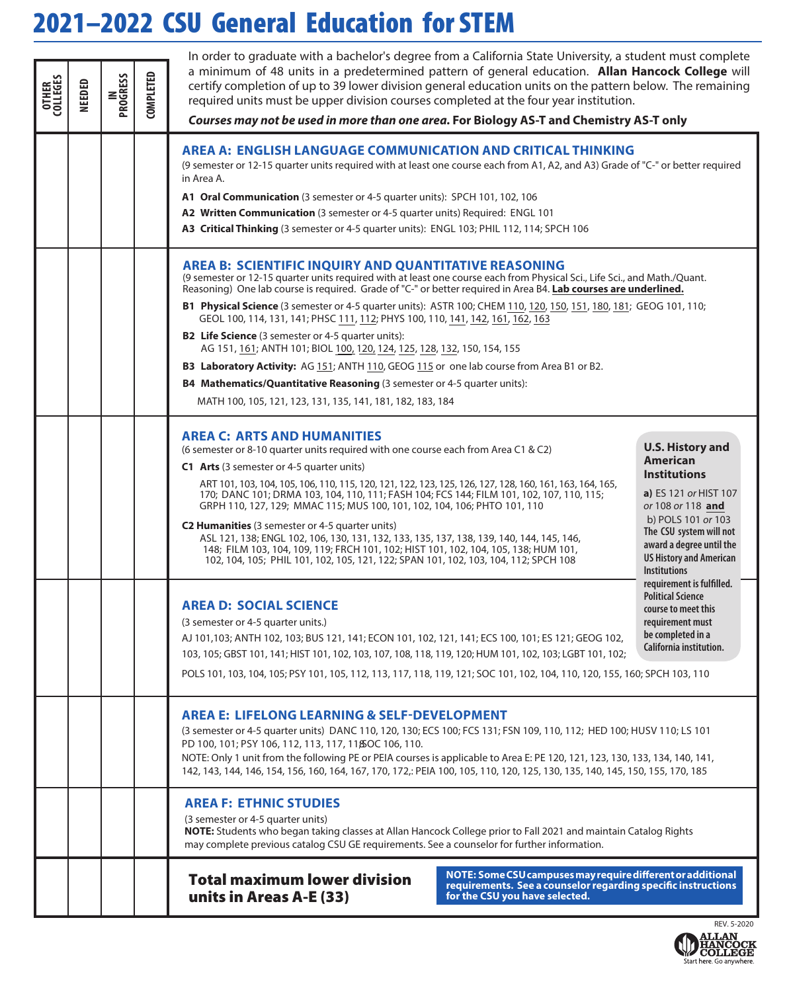## 2021–2022 CSU General Education for STEM

| <b>OTHER</b><br>COLLEGES | NEEDED | IN<br>PROGRESS | <b>COMPLETED</b> | In order to graduate with a bachelor's degree from a California State University, a student must complete<br>a minimum of 48 units in a predetermined pattern of general education. Allan Hancock College will<br>certify completion of up to 39 lower division general education units on the pattern below. The remaining<br>required units must be upper division courses completed at the four year institution.<br>Courses may not be used in more than one area. For Biology AS-T and Chemistry AS-T only                                                                                                                                                                                                                                                                                                                                                                                           |                                                                                                                                                                                                                                                       |  |  |  |  |  |  |
|--------------------------|--------|----------------|------------------|-----------------------------------------------------------------------------------------------------------------------------------------------------------------------------------------------------------------------------------------------------------------------------------------------------------------------------------------------------------------------------------------------------------------------------------------------------------------------------------------------------------------------------------------------------------------------------------------------------------------------------------------------------------------------------------------------------------------------------------------------------------------------------------------------------------------------------------------------------------------------------------------------------------|-------------------------------------------------------------------------------------------------------------------------------------------------------------------------------------------------------------------------------------------------------|--|--|--|--|--|--|
|                          |        |                |                  | <b>AREA A: ENGLISH LANGUAGE COMMUNICATION AND CRITICAL THINKING</b><br>(9 semester or 12-15 quarter units required with at least one course each from A1, A2, and A3) Grade of "C-" or better required<br>in Area A.<br>A1 Oral Communication (3 semester or 4-5 quarter units): SPCH 101, 102, 106<br>A2 Written Communication (3 semester or 4-5 quarter units) Required: ENGL 101<br>A3 Critical Thinking (3 semester or 4-5 quarter units): ENGL 103; PHIL 112, 114; SPCH 106                                                                                                                                                                                                                                                                                                                                                                                                                         |                                                                                                                                                                                                                                                       |  |  |  |  |  |  |
|                          |        |                |                  | <b>AREA B: SCIENTIFIC INQUIRY AND QUANTITATIVE REASONING</b><br>(9 semester or 12-15 quarter units required with at least one course each from Physical Sci., Life Sci., and Math./Quant.<br>Reasoning) One lab course is required. Grade of "C-" or better required in Area B4. Lab courses are underlined.<br>B1 Physical Science (3 semester or 4-5 quarter units): ASTR 100; CHEM 110, 120, 150, 151, 180, 181; GEOG 101, 110;<br>GEOL 100, 114, 131, 141; PHSC 111, 112; PHYS 100, 110, 141, 142, 161, 162, 163<br><b>B2 Life Science</b> (3 semester or 4-5 quarter units):<br>AG 151, 161; ANTH 101; BIOL 100, 120, 124, 125, 128, 132, 150, 154, 155<br>B3 Laboratory Activity: AG 151; ANTH 110, GEOG 115 or one lab course from Area B1 or B2.<br><b>B4 Mathematics/Quantitative Reasoning</b> (3 semester or 4-5 quarter units):<br>MATH 100, 105, 121, 123, 131, 135, 141, 181, 182, 183, 184 |                                                                                                                                                                                                                                                       |  |  |  |  |  |  |
|                          |        |                |                  | <b>AREA C: ARTS AND HUMANITIES</b><br>(6 semester or 8-10 quarter units required with one course each from Area C1 & C2)<br>C1 Arts (3 semester or 4-5 quarter units)<br>ART 101, 103, 104, 105, 106, 110, 115, 120, 121, 122, 123, 125, 126, 127, 128, 160, 161, 163, 164, 165,<br>170; DANC 101; DRMA 103, 104, 110, 111; FASH 104; FCS 144; FILM 101, 102, 107, 110, 115;<br>GRPH 110, 127, 129; MMAC 115; MUS 100, 101, 102, 104, 106; PHTO 101, 110<br>C2 Humanities (3 semester or 4-5 quarter units)<br>ASL 121, 138; ENGL 102, 106, 130, 131, 132, 133, 135, 137, 138, 139, 140, 144, 145, 146,<br>148; FILM 103, 104, 109, 119; FRCH 101, 102; HIST 101, 102, 104, 105, 138; HUM 101,<br>102, 104, 105; PHIL 101, 102, 105, 121, 122; SPAN 101, 102, 103, 104, 112; SPCH 108                                                                                                                     | <b>U.S. History and</b><br><b>American</b><br><b>Institutions</b><br>a) ES 121 or HIST 107<br>or 108 or 118 and<br>b) POLS 101 or 103<br>The CSU system will not<br>award a degree until the<br><b>US History and American</b><br><b>Institutions</b> |  |  |  |  |  |  |
|                          |        |                |                  | <b>AREA D: SOCIAL SCIENCE</b><br>(3 semester or 4-5 quarter units.)<br>AJ 101,103; ANTH 102, 103; BUS 121, 141; ECON 101, 102, 121, 141; ECS 100, 101; ES 121; GEOG 102,<br>103, 105; GBST 101, 141; HIST 101, 102, 103, 107, 108, 118, 119, 120; HUM 101, 102, 103; LGBT 101, 102;<br>POLS 101, 103, 104, 105; PSY 101, 105, 112, 113, 117, 118, 119, 121; SOC 101, 102, 104, 110, 120, 155, 160; SPCH 103, 110                                                                                                                                                                                                                                                                                                                                                                                                                                                                                          | requirement is fulfilled.<br><b>Political Science</b><br>course to meet this<br>requirement must<br>be completed in a<br>California institution.                                                                                                      |  |  |  |  |  |  |
|                          |        |                |                  | <b>AREA E: LIFELONG LEARNING &amp; SELF-DEVELOPMENT</b><br>(3 semester or 4-5 quarter units) DANC 110, 120, 130; ECS 100; FCS 131; FSN 109, 110, 112; HED 100; HUSV 110; LS 101<br>PD 100, 101; PSY 106, 112, 113, 117, 118 OC 106, 110.<br>NOTE: Only 1 unit from the following PE or PEIA courses is applicable to Area E: PE 120, 121, 123, 130, 133, 134, 140, 141,<br>142, 143, 144, 146, 154, 156, 160, 164, 167, 170, 172,: PEIA 100, 105, 110, 120, 125, 130, 135, 140, 145, 150, 155, 170, 185                                                                                                                                                                                                                                                                                                                                                                                                   |                                                                                                                                                                                                                                                       |  |  |  |  |  |  |
|                          |        |                |                  | <b>AREA F: ETHNIC STUDIES</b><br>(3 semester or 4-5 quarter units)<br>NOTE: Students who began taking classes at Allan Hancock College prior to Fall 2021 and maintain Catalog Rights<br>may complete previous catalog CSU GE requirements. See a counselor for further information.                                                                                                                                                                                                                                                                                                                                                                                                                                                                                                                                                                                                                      |                                                                                                                                                                                                                                                       |  |  |  |  |  |  |
|                          |        |                |                  | NOTE: Some CSU campuses may require different or additional<br><b>Total maximum lower division</b><br>requirements. See a counselor regarding specific instructions<br>units in Areas A-E (33)<br>for the CSU you have selected.                                                                                                                                                                                                                                                                                                                                                                                                                                                                                                                                                                                                                                                                          |                                                                                                                                                                                                                                                       |  |  |  |  |  |  |